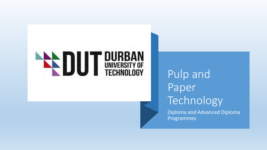# **ENDUT DURBAN**

# Pulp and Paper **Technology**

Diploma and Advanced Diploma Programmes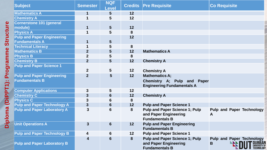| <b>Subject</b>                     | <b>Semester</b>         | <b>NQF</b><br><b>Level</b> |    | <b>Credits Pre Requisite</b>                                                            | <b>Co Requisite</b>                                                    |
|------------------------------------|-------------------------|----------------------------|----|-----------------------------------------------------------------------------------------|------------------------------------------------------------------------|
| <b>Mathematics A</b>               | 1                       | $5\overline{)}$            | 12 |                                                                                         |                                                                        |
| <b>Chemistry A</b>                 | $\overline{\mathbf{1}}$ | 5                          | 12 |                                                                                         |                                                                        |
| <b>Cornerstone 101 (general</b>    |                         |                            |    |                                                                                         |                                                                        |
| module)                            | $\mathbf 1$             | $5\phantom{1}$             | 12 |                                                                                         |                                                                        |
| <b>Physics A</b>                   | 1                       | 5                          | 8  |                                                                                         |                                                                        |
| <b>Pulp and Paper Engineering</b>  |                         |                            | 12 |                                                                                         |                                                                        |
| <b>Fundamentals A</b>              | $\mathbf 1$             | $5\phantom{1}$             |    |                                                                                         |                                                                        |
| <b>Technical Literacy</b>          | $\mathbf 1$             | 5                          | 8  |                                                                                         |                                                                        |
| <b>Mathematics B</b>               | $\boldsymbol{2}$        | 5                          | 12 | <b>Mathematics A</b>                                                                    |                                                                        |
| <b>Physics B</b>                   | $\overline{2}$          | 5                          | 8  |                                                                                         |                                                                        |
| <b>Chemistry B</b>                 | $\overline{2}$          | $5\overline{)}$            | 12 | <b>Chemistry A</b>                                                                      |                                                                        |
| <b>Pulp and Paper Science 1</b>    |                         |                            |    |                                                                                         |                                                                        |
|                                    | $\overline{2}$          | $5\overline{)}$            | 12 | <b>Chemistry A</b>                                                                      |                                                                        |
| <b>Pulp and Paper Engineering</b>  | $\overline{2}$          | 5                          | 12 | <b>Mathematics A:</b>                                                                   |                                                                        |
| <b>Fundamentals B</b>              |                         |                            |    | Chemistry A; Pulp and Paper<br><b>Engineering Fundamentals A</b>                        |                                                                        |
| <b>Computer Applications</b>       | $\boldsymbol{3}$        | 5                          | 12 |                                                                                         |                                                                        |
| <b>Chemistry C</b>                 | 3                       | $6\phantom{1}$             | 12 | <b>Chemistry A</b>                                                                      |                                                                        |
| <b>Physics C</b>                   | 3                       | $6\phantom{1}6$            | 8  |                                                                                         |                                                                        |
| <b>Pulp and Paper Technology A</b> | $\mathbf{3}$            | $6\phantom{1}$             | 12 | <b>Pulp and Paper Science 1</b>                                                         |                                                                        |
| <b>Pulp and Paper Laboratory A</b> | $\mathbf{3}$            | 6                          | 8  | <b>Pulp and Paper Science 1; Pulp</b><br>and Paper Engineering<br><b>Fundamentals B</b> | <b>Pulp and Paper Technology</b><br>A                                  |
| <b>Unit Operations A</b>           | $\mathbf{3}$            | $6\phantom{1}6$            | 12 | <b>Pulp and Paper Engineering</b><br><b>Fundamentals B</b>                              |                                                                        |
| <b>Pulp and Paper Technology B</b> | 4                       | 6                          | 12 | <b>Pulp and Paper Science 1</b>                                                         |                                                                        |
| <b>Pulp and Paper Laboratory B</b> | 4                       | 6                          | 8  | <b>Pulp and Paper Science 1; Pulp</b><br>and Paper Engineering<br><b>Fundamentals B</b> | <b>Pulp and Paper Technology</b><br><b>DURBAI</b><br>UNIVERSITY Q<br>B |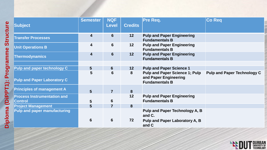| <b>Subject</b>                                       | <b>Semester</b> | <b>NQF</b><br><b>Level</b> | <b>Credits</b>  | <b>Pre Req.</b>                                                                         | <b>Co Req</b>                      |
|------------------------------------------------------|-----------------|----------------------------|-----------------|-----------------------------------------------------------------------------------------|------------------------------------|
| <b>Transfer Processes</b>                            | 4               | $6 \overline{6}$           | 12              | <b>Pulp and Paper Engineering</b><br><b>Fundamentals B</b>                              |                                    |
| <b>Unit Operations B</b>                             | 4               | $6 \,$                     | 12              | <b>Pulp and Paper Engineering</b><br><b>Fundamentals B</b>                              |                                    |
| <b>Thermodynamics</b>                                | 4               | $6 \overline{6}$           | 12              | <b>Pulp and Paper Engineering</b><br><b>Fundamentals B</b>                              |                                    |
|                                                      |                 |                            |                 |                                                                                         |                                    |
| <b>Pulp and paper technology C</b>                   | 5 <sup>5</sup>  | $6 \overline{6}$           | 12 <sub>2</sub> | <b>Pulp and Paper Science 1</b>                                                         |                                    |
| <b>Pulp and Paper Laboratory C</b>                   | 5               | 6                          | 8               | <b>Pulp and Paper Science 1; Pulp</b><br>and Paper Engineering<br><b>Fundamentals B</b> | <b>Pulp and Paper Technology C</b> |
| <b>Principles of management A</b>                    | $5\phantom{1}$  | $\overline{7}$             | 8               |                                                                                         |                                    |
| <b>Process Instrumentation and</b><br><b>Control</b> | $5\phantom{1}$  | 6                          | 12              | <b>Pulp and Paper Engineering</b><br><b>Fundamentals B</b>                              |                                    |
| <b>Project Management</b>                            | 5               | $\overline{7}$             | 8               |                                                                                         |                                    |
| <b>Pulp and paper manufacturing</b>                  |                 |                            |                 | Pulp and Paper Technology A, B<br>and C.                                                |                                    |
|                                                      | 6               | $6 \,$                     | 72              | Pulp and Paper Laboratory A, B<br>and C                                                 |                                    |

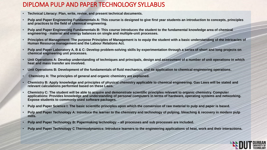#### DIPLOMA PULP AND PAPER TECHNOLOGY SYLLABUS

- **Technical Literacy: Plan, write, revise, and present technical documents.**
- **Pulp and Paper Engineering Fundamentals A: This course is designed to give first year students an introduction to concepts, principles and practices to the field of chemical engineering.**
- **Pulp and Paper Engineering Fundamentals B: This course introduces the student to the fundamental knowledge area of chemical engineering - material and energy balances on single and multiple-unit processes.**
- **Principles of Management: The purpose Principles of Management is to equip the student with a basic understanding of the intricacies of Human Resource management and the Labour Relations Act.**
- **Pulp and Paper Laboratory A, B & C: Develop problem-solving skills by experimentation through a series of short and long projects on chemical engineering unit processes.**
- **Unit Operations A: Develop understanding of techniques and principals, design and assessment of a number of unit operations in which heat and mass transfer are involved.**
- **Unit Operations B: Development of the fundamentals of fluid mechanics, and its application to chemical engineering operations.**
- **Chemistry A: The principles of general and organic chemistry are explained.**
- **Chemistry B: Apply knowledge and principles of physical chemistry applicable to chemical engineering. Gas Laws will be stated and relevant calculations performed based on these Laws.**
- **Chemistry C: The student will be able to acquire and demonstrate scientific principles relevant to organic chemistry. Computer applications: Provides knowledge and understanding of personal computers in terms of hardware, operating systems and networking. Expose students to commonly used software packages.**
- **Pulp and Paper Science I: The basic scientific principles upon which the conversion of raw material to pulp and paper is based.**
- **Pulp and Paper Technology A: Introduce the learner to the chemistry and technology of pulping, bleaching & recovery in modern pulp mills.**
- **Pulp and Paper Technology B: Papermaking technology – all processes and sub processes are included.**
- **Pulp and Paper Technology C Thermodynamics: Introduce learners to the engineering applications of heat, work and their interactions.**

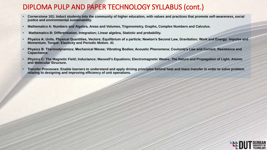### DIPLOMA PULP AND PAPER TECHNOLOGY SYLLABUS (cont.)

- **Cornerstone 101: Induct students into the community of higher education, with values and practices that promote self-awareness, social justice and environmental sustainability.**
- **Mathematics A: Numbers and Algebra, Areas and Volumes, Trigonometry, Graphs, Complex Numbers and Calculus.**
- **Mathematics B: Differentiation, Integration; Linear algebra, Statistic and probability.**
- **Physics A: Units, Physical Quantities, Vectors; Equilibrium of a particle; Newton's Second Law, Gravitation; Work and Energy; Impulse and Momentum; Torque; Elasticity and Periodic Motion. 41**
- **Physics B: Thermodynamics; Mechanical Waves; Vibrating Bodies; Acoustic Phenomena; Coulomb's Law and Current, Resistance and Capacitance.**
- **Physics C: The Magnetic Field; Inductance; Maxwell's Equations; Electromagnetic Waves; The Nature and Propagation of Light; Atomic and Molecular Structure.**
- **Transfer Processes: Enable learners to understand and apply driving principles behind heat and mass transfer in order to solve problem relating to designing and improving efficiency of unit operations.**

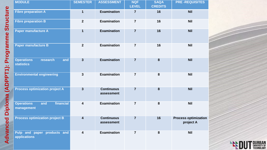| <b>MODULE</b>                                             | <b>SEMESTER</b>         | <b>ASSESSMENT</b>               | <b>NQF</b><br><b>LEVEL</b> | <b>SAQA</b><br><b>CREDITS</b> | <b>PRE-REQUISITES</b>                    |
|-----------------------------------------------------------|-------------------------|---------------------------------|----------------------------|-------------------------------|------------------------------------------|
| <b>Fibre preparation A</b>                                | $\mathbf 1$             | <b>Examination</b>              | $\overline{7}$             | 16                            | <b>Nil</b>                               |
| <b>Fibre preparation B</b>                                | $\mathbf{2}$            | <b>Examination</b>              | $\overline{7}$             | 16                            | <b>Nil</b>                               |
| Paper manufacture A                                       | $\mathbf 1$             | <b>Examination</b>              | $\overline{7}$             | 16                            | <b>Nil</b>                               |
| <b>Paper manufacture B</b>                                | $\overline{2}$          | <b>Examination</b>              | $\overline{7}$             | 16                            | <b>Nil</b>                               |
| <b>Operations</b><br>research<br>and<br><b>statistics</b> | $\mathbf{3}$            | <b>Examination</b>              | $\overline{7}$             | 8                             | <b>Nil</b>                               |
| <b>Environmental engineering</b>                          | 3                       | <b>Examination</b>              | $\overline{7}$             | 8                             | <b>Nil</b>                               |
| <b>Process optimization project A</b>                     | $\overline{3}$          | <b>Continuous</b><br>assessment | $\overline{7}$             | 8                             | <b>Nil</b>                               |
| financial<br><b>Operations</b><br>and<br>management       | $\overline{\mathbf{4}}$ | <b>Examination</b>              | $\overline{7}$             | 8                             | <b>Nil</b>                               |
| <b>Process optimization project B</b>                     | $\overline{\mathbf{4}}$ | <b>Continuous</b><br>assessment | $\overline{7}$             | 16                            | <b>Process optimization</b><br>project A |
| Pulp and paper<br>products and<br>applications            | 4                       | <b>Examination</b>              | $\overline{7}$             | 8                             | <b>Nil</b>                               |

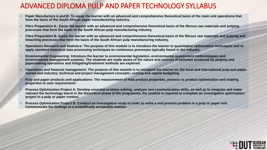## ADVANCED DIPLOMA PULP AND PAPER TECHNOLOGY SYLLABUS

- **Paper Manufacture A and B: To equip the learner with an advanced and comprehensive theoretical basis of the main unit operations that form the basis of the South African paper manufacturing industry.**
- **Fibre Preparation A : Equip the learner with an advanced and comprehensive theoretical basis of the fibrous raw materials and pulping processes that form the basis of the South African pulp manufacturing industry.**
- **Fibre Preparation B: Equip the learner with an advanced and comprehensive theoretical basis of the fibrous raw materials and pulping and bleaching processes that form the basis of the South African pulp manufacturing industry.**
- **Operations Research and Statistics: The purpose of this module is to introduce the learner to quantitative optimisation techniques and to apply standard statistical data processing techniques to continuous processes typically found in the industry.**
- **Environmental Engineering: Introduce the learner to environmental legislation, environmental assessment methodologies and environmental management systems. The students are made aware of the nature and sources of pollution produced by pulping and papermaking operations and mitigating/treatment methods are explored.**
- **Operations and financial management: The purpose of this module is to introduce the learner to: the local and international pulp and paper market and industry; technical and project management concepts; costing and capital budgeting.**
- **Pulp and paper products and applications: The measurement of final product properties, process vs product optimisation and relating properties to user requirements**
- **Process Optimisation Project A: Develop essential problem solving, analysis and communication skills, as well as to integrate and make relevant the technology learnt in the theoretical phase of the programme, the student is required to complete an investigative optimisation project in a pulp or paper context.**
- **Process Optimisation Project B: Conduct an investigative study in order to solve a real process problem in a pulp or paper mill. Communicate the findings in a scientifically acceptable manner.**